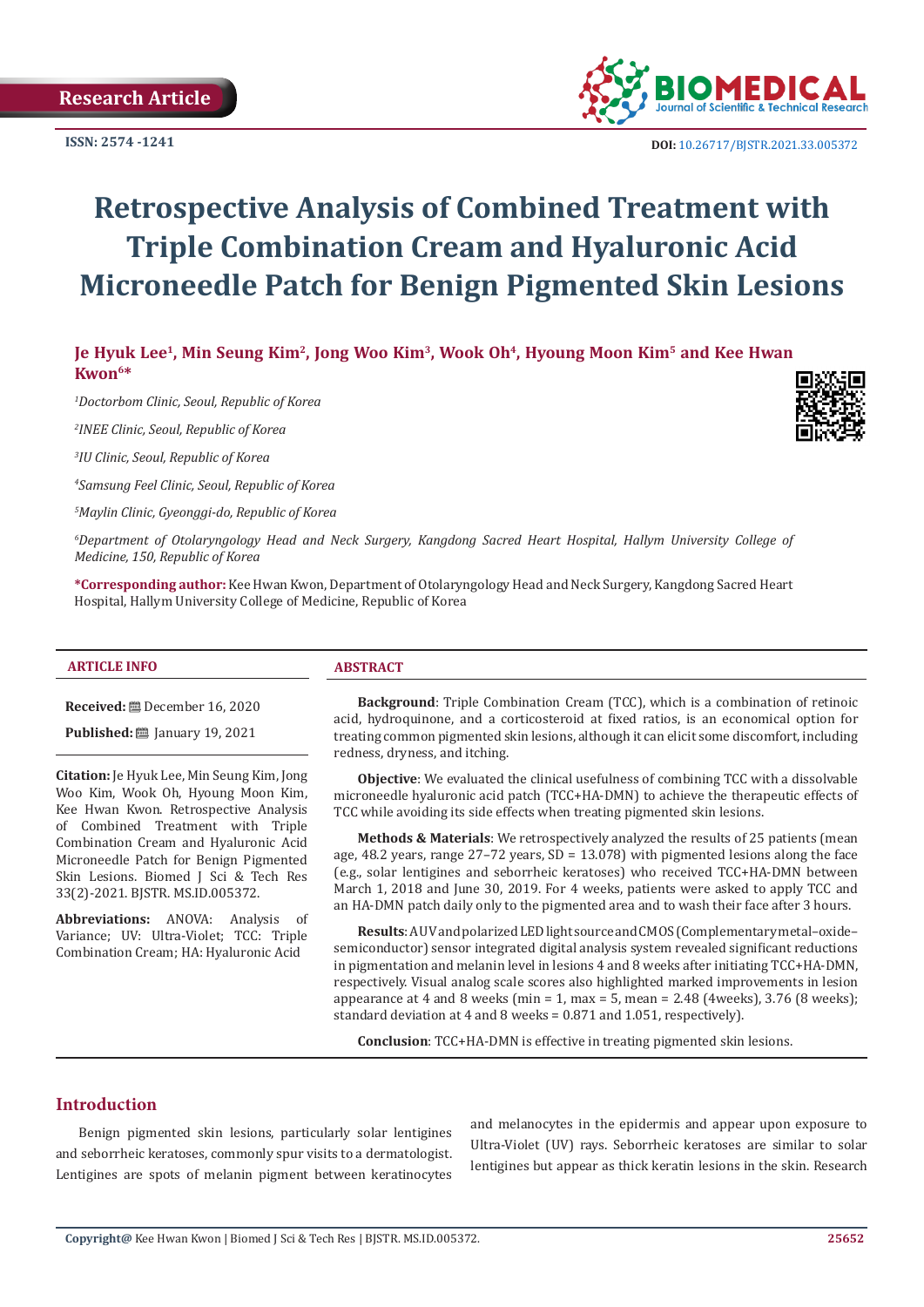

 **DOI:** [10.26717/BJSTR.2021.33.0053](http://dx.doi.org/10.26717/BJSTR.2021.33.005372)72

# **Retrospective Analysis of Combined Treatment with Triple Combination Cream and Hyaluronic Acid Microneedle Patch for Benign Pigmented Skin Lesions**

**Je Hyuk Lee1, Min Seung Kim2, Jong Woo Kim3, Wook Oh4, Hyoung Moon Kim5 and Kee Hwan Kwon6\***

*1 Doctorbom Clinic, Seoul, Republic of Korea*

*2 INEE Clinic, Seoul, Republic of Korea*

*3 IU Clinic, Seoul, Republic of Korea*

*4 Samsung Feel Clinic, Seoul, Republic of Korea*

*5 Maylin Clinic, Gyeonggi-do, Republic of Korea*

*6 Department of Otolaryngology Head and Neck Surgery, Kangdong Sacred Heart Hospital, Hallym University College of Medicine, 150, Republic of Korea*

**\*Corresponding author:** Kee Hwan Kwon, Department of Otolaryngology Head and Neck Surgery, Kangdong Sacred Heart Hospital, Hallym University College of Medicine, Republic of Korea

## **ARTICLE INFO ABSTRACT**

**Received:** December 16, 2020

**Published:** ■ January 19, 2021

**Citation:** Je Hyuk Lee, Min Seung Kim, Jong Woo Kim, Wook Oh, Hyoung Moon Kim, Kee Hwan Kwon. Retrospective Analysis of Combined Treatment with Triple Combination Cream and Hyaluronic Acid Microneedle Patch for Benign Pigmented Skin Lesions. Biomed J Sci & Tech Res 33(2)-2021. BJSTR. MS.ID.005372.

**Abbreviations:** ANOVA: Analysis of Variance; UV: Ultra-Violet; TCC: Triple Combination Cream; HA: Hyaluronic Acid

**Background**: Triple Combination Cream (TCC), which is a combination of retinoic acid, hydroquinone, and a corticosteroid at fixed ratios, is an economical option for treating common pigmented skin lesions, although it can elicit some discomfort, including redness, dryness, and itching.

**Objective**: We evaluated the clinical usefulness of combining TCC with a dissolvable microneedle hyaluronic acid patch (TCC+HA-DMN) to achieve the therapeutic effects of TCC while avoiding its side effects when treating pigmented skin lesions.

**Methods & Materials**: We retrospectively analyzed the results of 25 patients (mean age, 48.2 years, range 27–72 years, SD = 13.078) with pigmented lesions along the face (e.g., solar lentigines and seborrheic keratoses) who received TCC+HA-DMN between March 1, 2018 and June 30, 2019. For 4 weeks, patients were asked to apply TCC and an HA-DMN patch daily only to the pigmented area and to wash their face after 3 hours.

**Results**: A UV and polarized LED light source and CMOS (Complementary metal–oxide– semiconductor) sensor integrated digital analysis system revealed significant reductions in pigmentation and melanin level in lesions 4 and 8 weeks after initiating TCC+HA-DMN, respectively. Visual analog scale scores also highlighted marked improvements in lesion appearance at 4 and 8 weeks (min = 1, max = 5, mean =  $2.48$  (4 weeks),  $3.76$  (8 weeks); standard deviation at 4 and 8 weeks = 0.871 and 1.051, respectively).

**Conclusion**: TCC+HA-DMN is effective in treating pigmented skin lesions.

## **Introduction**

Benign pigmented skin lesions, particularly solar lentigines and seborrheic keratoses, commonly spur visits to a dermatologist. Lentigines are spots of melanin pigment between keratinocytes

and melanocytes in the epidermis and appear upon exposure to Ultra-Violet (UV) rays. Seborrheic keratoses are similar to solar lentigines but appear as thick keratin lesions in the skin. Research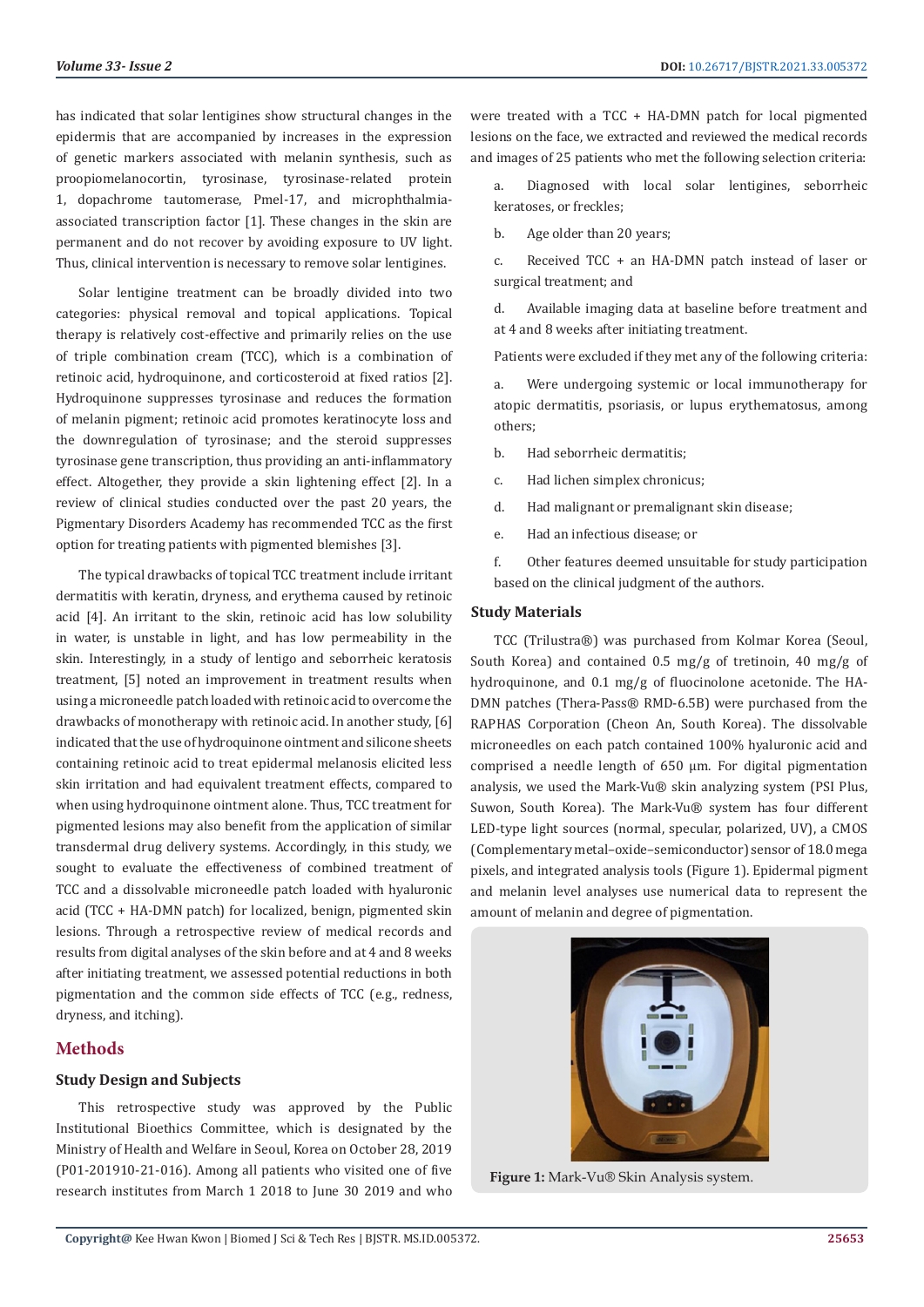has indicated that solar lentigines show structural changes in the epidermis that are accompanied by increases in the expression of genetic markers associated with melanin synthesis, such as proopiomelanocortin, tyrosinase, tyrosinase-related protein 1, dopachrome tautomerase, Pmel-17, and microphthalmiaassociated transcription factor [1]. These changes in the skin are permanent and do not recover by avoiding exposure to UV light. Thus, clinical intervention is necessary to remove solar lentigines.

Solar lentigine treatment can be broadly divided into two categories: physical removal and topical applications. Topical therapy is relatively cost-effective and primarily relies on the use of triple combination cream (TCC), which is a combination of retinoic acid, hydroquinone, and corticosteroid at fixed ratios [2]. Hydroquinone suppresses tyrosinase and reduces the formation of melanin pigment; retinoic acid promotes keratinocyte loss and the downregulation of tyrosinase; and the steroid suppresses tyrosinase gene transcription, thus providing an anti-inflammatory effect. Altogether, they provide a skin lightening effect [2]. In a review of clinical studies conducted over the past 20 years, the Pigmentary Disorders Academy has recommended TCC as the first option for treating patients with pigmented blemishes [3].

The typical drawbacks of topical TCC treatment include irritant dermatitis with keratin, dryness, and erythema caused by retinoic acid [4]. An irritant to the skin, retinoic acid has low solubility in water, is unstable in light, and has low permeability in the skin. Interestingly, in a study of lentigo and seborrheic keratosis treatment, [5] noted an improvement in treatment results when using a microneedle patch loaded with retinoic acid to overcome the drawbacks of monotherapy with retinoic acid. In another study, [6] indicated that the use of hydroquinone ointment and silicone sheets containing retinoic acid to treat epidermal melanosis elicited less skin irritation and had equivalent treatment effects, compared to when using hydroquinone ointment alone. Thus, TCC treatment for pigmented lesions may also benefit from the application of similar transdermal drug delivery systems. Accordingly, in this study, we sought to evaluate the effectiveness of combined treatment of TCC and a dissolvable microneedle patch loaded with hyaluronic acid (TCC + HA-DMN patch) for localized, benign, pigmented skin lesions. Through a retrospective review of medical records and results from digital analyses of the skin before and at 4 and 8 weeks after initiating treatment, we assessed potential reductions in both pigmentation and the common side effects of TCC (e.g., redness, dryness, and itching).

## **Methods**

#### **Study Design and Subjects**

This retrospective study was approved by the Public Institutional Bioethics Committee, which is designated by the Ministry of Health and Welfare in Seoul, Korea on October 28, 2019 (P01-201910-21-016). Among all patients who visited one of five research institutes from March 1 2018 to June 30 2019 and who

were treated with a TCC + HA-DMN patch for local pigmented lesions on the face, we extracted and reviewed the medical records and images of 25 patients who met the following selection criteria:

a. Diagnosed with local solar lentigines, seborrheic keratoses, or freckles;

b. Age older than 20 years;

c. Received TCC + an HA-DMN patch instead of laser or surgical treatment; and

d. Available imaging data at baseline before treatment and at 4 and 8 weeks after initiating treatment.

Patients were excluded if they met any of the following criteria:

a. Were undergoing systemic or local immunotherapy for atopic dermatitis, psoriasis, or lupus erythematosus, among others;

b. Had seborrheic dermatitis;

c. Had lichen simplex chronicus;

d. Had malignant or premalignant skin disease;

e. Had an infectious disease; or

f. Other features deemed unsuitable for study participation based on the clinical judgment of the authors.

#### **Study Materials**

TCC (Trilustra®) was purchased from Kolmar Korea (Seoul, South Korea) and contained 0.5 mg/g of tretinoin, 40 mg/g of hydroquinone, and 0.1 mg/g of fluocinolone acetonide. The HA-DMN patches (Thera-Pass® RMD-6.5B) were purchased from the RAPHAS Corporation (Cheon An, South Korea). The dissolvable microneedles on each patch contained 100% hyaluronic acid and comprised a needle length of 650 μm. For digital pigmentation analysis, we used the Mark-Vu® skin analyzing system (PSI Plus, Suwon, South Korea). The Mark-Vu® system has four different LED-type light sources (normal, specular, polarized, UV), a CMOS (Complementary metal–oxide–semiconductor) sensor of 18.0 mega pixels, and integrated analysis tools (Figure 1). Epidermal pigment and melanin level analyses use numerical data to represent the amount of melanin and degree of pigmentation.



**Figure 1:** Mark-Vu® Skin Analysis system.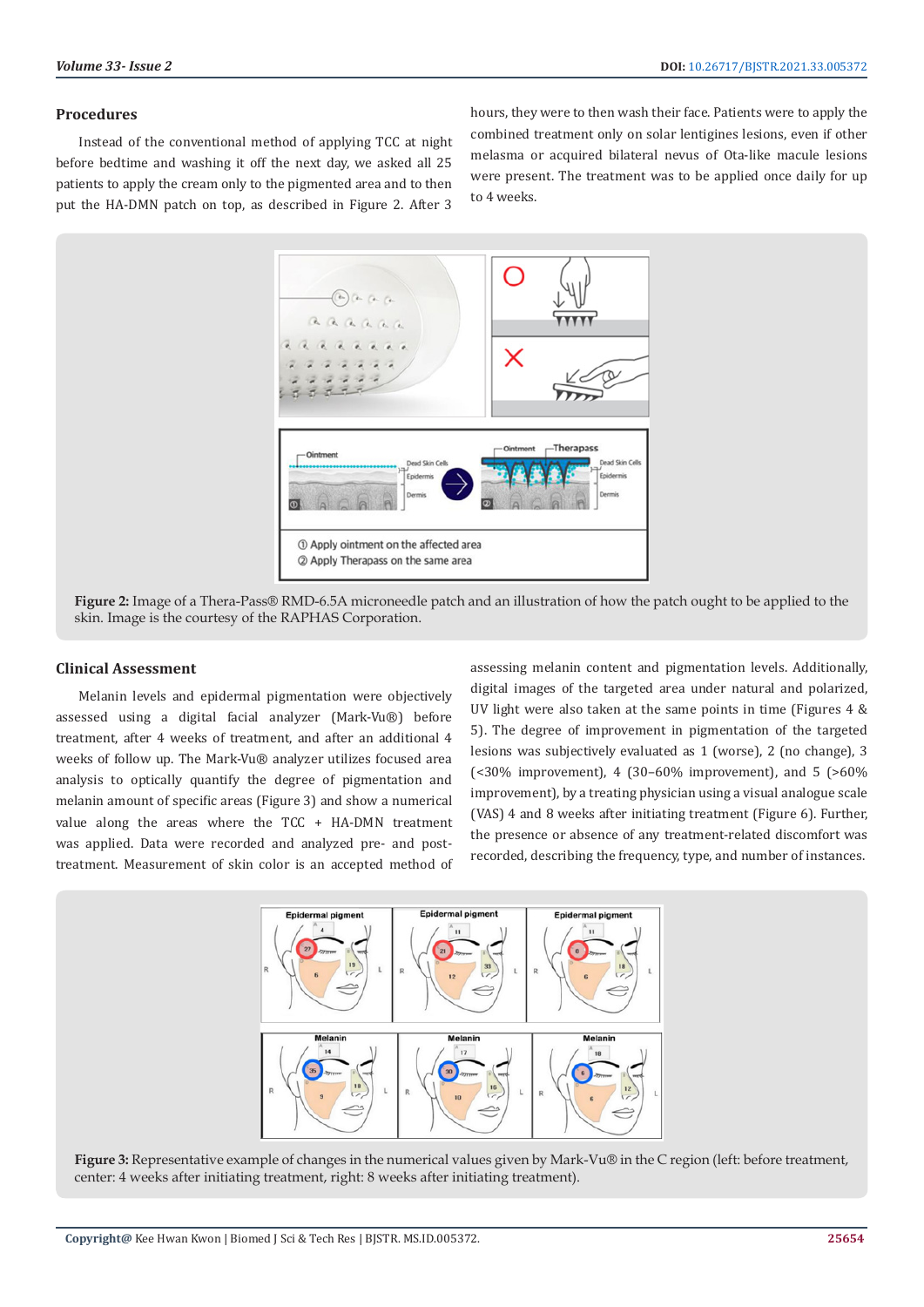## **Procedures**

Instead of the conventional method of applying TCC at night before bedtime and washing it off the next day, we asked all 25 patients to apply the cream only to the pigmented area and to then put the HA-DMN patch on top, as described in Figure 2. After 3 hours, they were to then wash their face. Patients were to apply the combined treatment only on solar lentigines lesions, even if other melasma or acquired bilateral nevus of Ota-like macule lesions were present. The treatment was to be applied once daily for up to 4 weeks.



**Figure 2:** Image of a Thera-Pass® RMD-6.5A microneedle patch and an illustration of how the patch ought to be applied to the skin. Image is the courtesy of the RAPHAS Corporation.

## **Clinical Assessment**

Melanin levels and epidermal pigmentation were objectively assessed using a digital facial analyzer (Mark-Vu®) before treatment, after 4 weeks of treatment, and after an additional 4 weeks of follow up. The Mark-Vu® analyzer utilizes focused area analysis to optically quantify the degree of pigmentation and melanin amount of specific areas (Figure 3) and show a numerical value along the areas where the TCC + HA-DMN treatment was applied. Data were recorded and analyzed pre- and posttreatment. Measurement of skin color is an accepted method of assessing melanin content and pigmentation levels. Additionally, digital images of the targeted area under natural and polarized, UV light were also taken at the same points in time (Figures 4 & 5). The degree of improvement in pigmentation of the targeted lesions was subjectively evaluated as 1 (worse), 2 (no change), 3 (<30% improvement), 4 (30–60% improvement), and 5 (>60% improvement), by a treating physician using a visual analogue scale (VAS) 4 and 8 weeks after initiating treatment (Figure 6). Further, the presence or absence of any treatment-related discomfort was recorded, describing the frequency, type, and number of instances.



**Figure 3:** Representative example of changes in the numerical values given by Mark-Vu® in the C region (left: before treatment, center: 4 weeks after initiating treatment, right: 8 weeks after initiating treatment).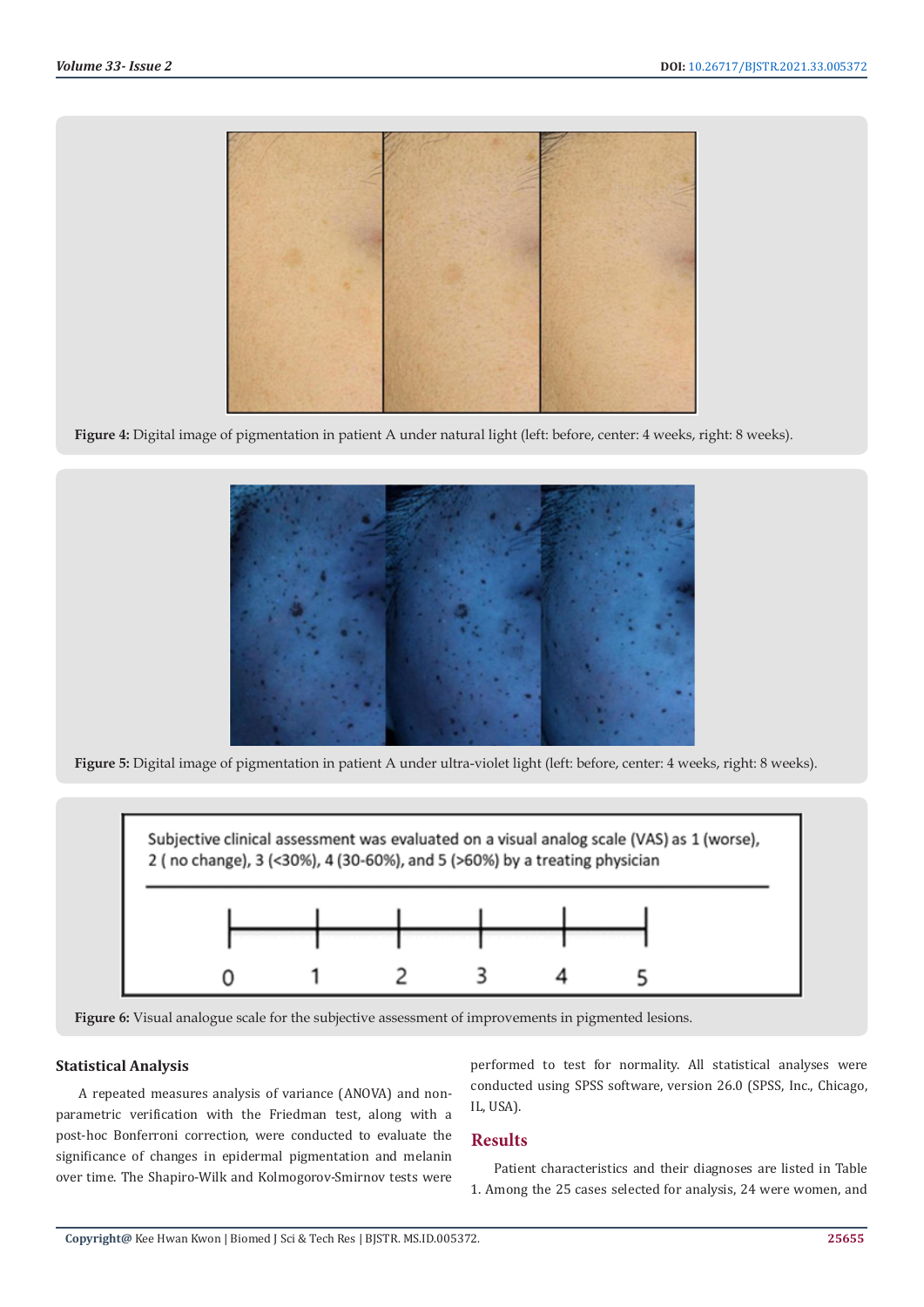

**Figure 4:** Digital image of pigmentation in patient A under natural light (left: before, center: 4 weeks, right: 8 weeks).



**Figure 5:** Digital image of pigmentation in patient A under ultra-violet light (left: before, center: 4 weeks, right: 8 weeks).



**Figure 6:** Visual analogue scale for the subjective assessment of improvements in pigmented lesions.

## **Statistical Analysis**

A repeated measures analysis of variance (ANOVA) and nonparametric verification with the Friedman test, along with a post-hoc Bonferroni correction, were conducted to evaluate the significance of changes in epidermal pigmentation and melanin over time. The Shapiro-Wilk and Kolmogorov-Smirnov tests were

performed to test for normality. All statistical analyses were conducted using SPSS software, version 26.0 (SPSS, Inc., Chicago, IL, USA).

#### **Results**

Patient characteristics and their diagnoses are listed in Table 1. Among the 25 cases selected for analysis, 24 were women, and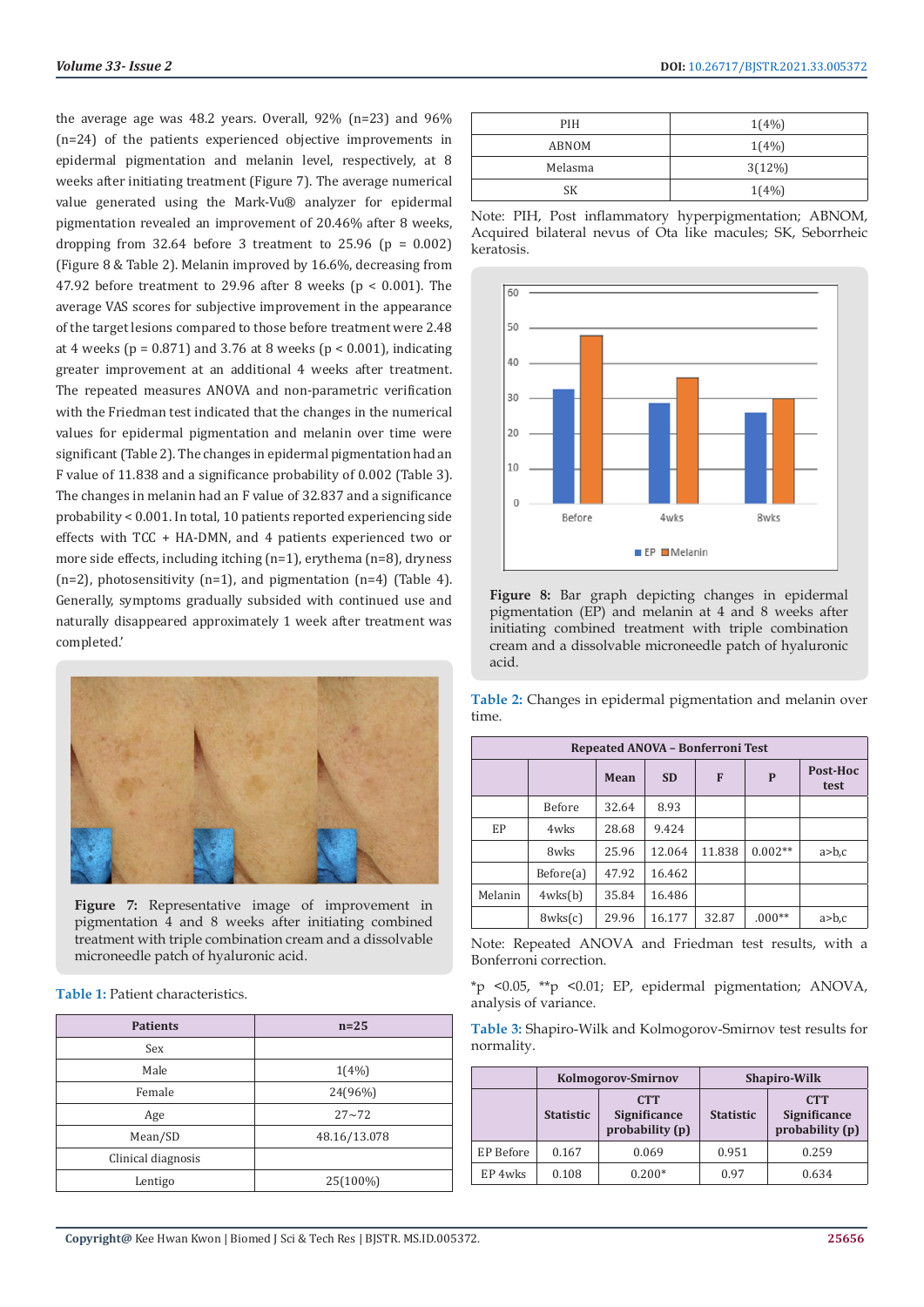the average age was 48.2 years. Overall, 92% (n=23) and 96% (n=24) of the patients experienced objective improvements in epidermal pigmentation and melanin level, respectively, at 8 weeks after initiating treatment (Figure 7). The average numerical value generated using the Mark-Vu® analyzer for epidermal pigmentation revealed an improvement of 20.46% after 8 weeks, dropping from  $32.64$  before 3 treatment to  $25.96$  (p = 0.002) (Figure 8 & Table 2). Melanin improved by 16.6%, decreasing from 47.92 before treatment to 29.96 after 8 weeks (p < 0.001). The average VAS scores for subjective improvement in the appearance of the target lesions compared to those before treatment were 2.48 at 4 weeks ( $p = 0.871$ ) and 3.76 at 8 weeks ( $p < 0.001$ ), indicating greater improvement at an additional 4 weeks after treatment. The repeated measures ANOVA and non-parametric verification with the Friedman test indicated that the changes in the numerical values for epidermal pigmentation and melanin over time were significant (Table 2). The changes in epidermal pigmentation had an F value of 11.838 and a significance probability of 0.002 (Table 3). The changes in melanin had an F value of 32.837 and a significance probability < 0.001. In total, 10 patients reported experiencing side effects with TCC + HA-DMN, and 4 patients experienced two or more side effects, including itching (n=1), erythema (n=8), dryness  $(n=2)$ , photosensitivity  $(n=1)$ , and pigmentation  $(n=4)$  (Table 4). Generally, symptoms gradually subsided with continued use and naturally disappeared approximately 1 week after treatment was completed.'



**Figure 7:** Representative image of improvement in pigmentation 4 and 8 weeks after initiating combined treatment with triple combination cream and a dissolvable microneedle patch of hyaluronic acid.

**Table 1:** Patient characteristics.

| <b>Patients</b>    | $n=25$       |  |
|--------------------|--------------|--|
| Sex                |              |  |
| Male               | $1(4\%)$     |  |
| Female             | 24(96%)      |  |
| Age                | $27 - 72$    |  |
| Mean/SD            | 48.16/13.078 |  |
| Clinical diagnosis |              |  |
| Lentigo            | 25(100%)     |  |

| PIH     | $1(4\%)$ |
|---------|----------|
| ABNOM   | $1(4\%)$ |
| Melasma | 3(12%)   |
| SК      | $1(4\%)$ |
|         |          |

Note: PIH, Post inflammatory hyperpigmentation; ABNOM, Acquired bilateral nevus of Ota like macules; SK, Seborrheic keratosis.



**Figure 8:** Bar graph depicting changes in epidermal pigmentation (EP) and melanin at 4 and 8 weeks after initiating combined treatment with triple combination cream and a dissolvable microneedle patch of hyaluronic acid.

**Table 2:** Changes in epidermal pigmentation and melanin over time.

| Repeated ANOVA - Bonferroni Test |               |       |           |        |           |                  |
|----------------------------------|---------------|-------|-----------|--------|-----------|------------------|
|                                  |               | Mean  | <b>SD</b> | F      | P         | Post-Hoc<br>test |
|                                  | <b>Before</b> | 32.64 | 8.93      |        |           |                  |
| EP                               | 4wks          | 28.68 | 9.424     |        |           |                  |
|                                  | 8wks          | 25.96 | 12.064    | 11.838 | $0.002**$ | $a$ $>b$ , $c$   |
|                                  | Before(a)     | 47.92 | 16.462    |        |           |                  |
| Melanin                          | 4wks(b)       | 35.84 | 16.486    |        |           |                  |
|                                  | 8wks(c)       | 29.96 | 16.177    | 32.87  | $.000**$  | $a$ >b,c         |

Note: Repeated ANOVA and Friedman test results, with a Bonferroni correction.

\*p <0.05, \*\*p <0.01; EP, epidermal pigmentation; ANOVA, analysis of variance.

| <b>Table 3:</b> Shapiro-Wilk and Kolmogorov-Smirnov test results for |  |  |  |
|----------------------------------------------------------------------|--|--|--|
| normality.                                                           |  |  |  |

|           | Kolmogorov-Smirnov |                                                      | <b>Shapiro-Wilk</b> |                                                      |
|-----------|--------------------|------------------------------------------------------|---------------------|------------------------------------------------------|
|           | <b>Statistic</b>   | <b>CTT</b><br><b>Significance</b><br>probability (p) | <b>Statistic</b>    | <b>CTT</b><br><b>Significance</b><br>probability (p) |
| EP Before | 0.167              | 0.069                                                | 0.951               | 0.259                                                |
| EP 4wks   | 0.108              | $0.200*$                                             | 0.97                | 0.634                                                |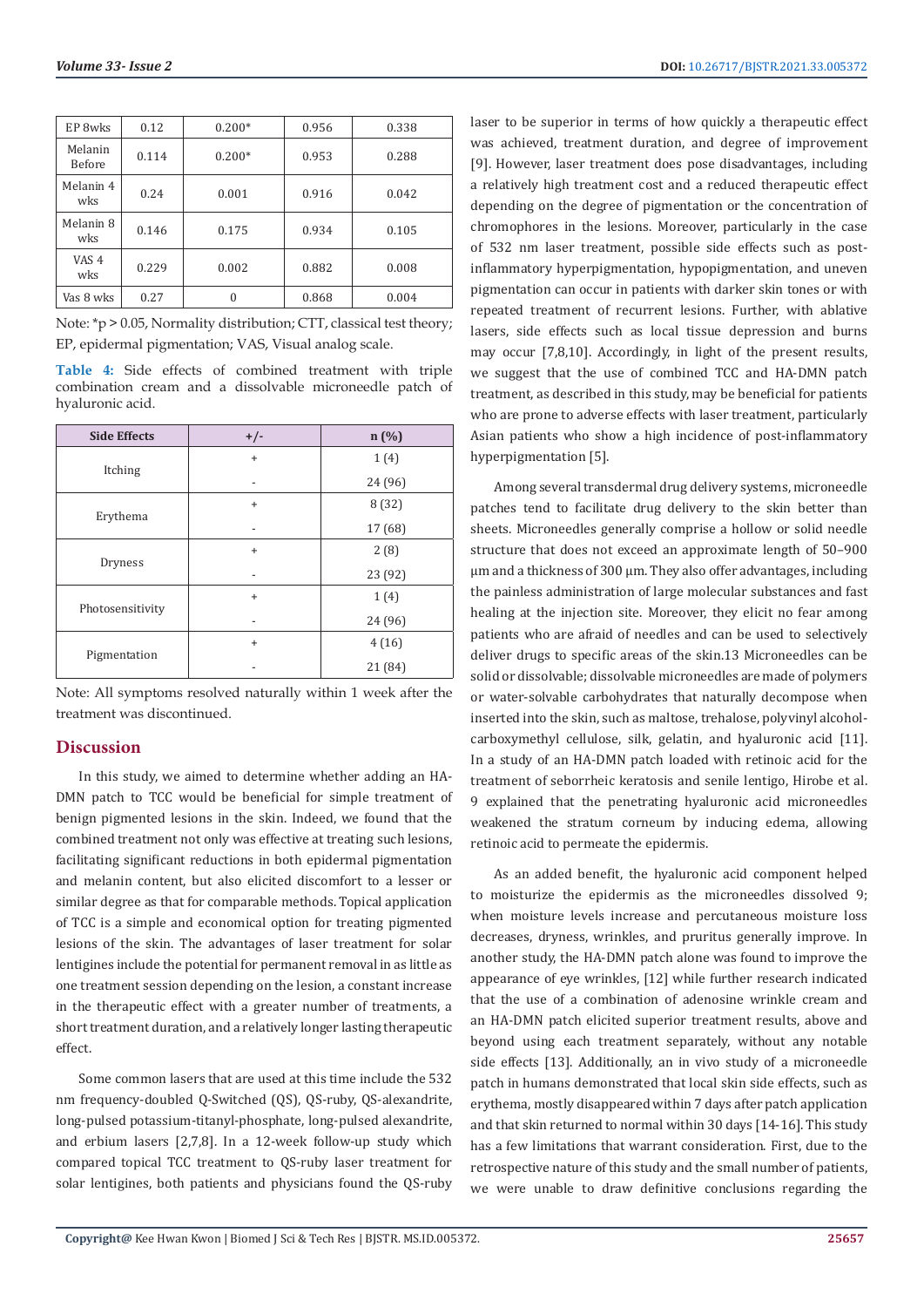| EP 8wks                  | 0.12  | $0.200*$ | 0.956 | 0.338 |
|--------------------------|-------|----------|-------|-------|
| Melanin<br><b>Before</b> | 0.114 | $0.200*$ | 0.953 | 0.288 |
| Melanin 4<br>wks         | 0.24  | 0.001    | 0.916 | 0.042 |
| Melanin 8<br>wks         | 0.146 | 0.175    | 0.934 | 0.105 |
| VAS <sub>4</sub><br>wks  | 0.229 | 0.002    | 0.882 | 0.008 |
| Vas 8 wks                | 0.27  | $\theta$ | 0.868 | 0.004 |

Note: \*p > 0.05, Normality distribution; CTT, classical test theory; EP, epidermal pigmentation; VAS, Visual analog scale.

**Table 4:** Side effects of combined treatment with triple combination cream and a dissolvable microneedle patch of hyaluronic acid.

| <b>Side Effects</b> | $+/-$     | n(%)    |
|---------------------|-----------|---------|
| Itching             | $\ddot{}$ | 1(4)    |
|                     |           | 24 (96) |
| Erythema            | $\ddot{}$ | 8(32)   |
|                     |           | 17 (68) |
| Dryness             | $\ddot{}$ | 2(8)    |
|                     |           | 23 (92) |
| Photosensitivity    | $+$       | 1(4)    |
|                     |           | 24 (96) |
| Pigmentation        | $\ddot{}$ | 4(16)   |
|                     |           | 21 (84) |

Note: All symptoms resolved naturally within 1 week after the treatment was discontinued.

## **Discussion**

In this study, we aimed to determine whether adding an HA-DMN patch to TCC would be beneficial for simple treatment of benign pigmented lesions in the skin. Indeed, we found that the combined treatment not only was effective at treating such lesions, facilitating significant reductions in both epidermal pigmentation and melanin content, but also elicited discomfort to a lesser or similar degree as that for comparable methods. Topical application of TCC is a simple and economical option for treating pigmented lesions of the skin. The advantages of laser treatment for solar lentigines include the potential for permanent removal in as little as one treatment session depending on the lesion, a constant increase in the therapeutic effect with a greater number of treatments, a short treatment duration, and a relatively longer lasting therapeutic effect.

Some common lasers that are used at this time include the 532 nm frequency-doubled Q-Switched (QS), QS-ruby, QS-alexandrite, long-pulsed potassium-titanyl-phosphate, long-pulsed alexandrite, and erbium lasers [2,7,8]. In a 12-week follow-up study which compared topical TCC treatment to QS-ruby laser treatment for solar lentigines, both patients and physicians found the QS-ruby

laser to be superior in terms of how quickly a therapeutic effect was achieved, treatment duration, and degree of improvement [9]. However, laser treatment does pose disadvantages, including a relatively high treatment cost and a reduced therapeutic effect depending on the degree of pigmentation or the concentration of chromophores in the lesions. Moreover, particularly in the case of 532 nm laser treatment, possible side effects such as postinflammatory hyperpigmentation, hypopigmentation, and uneven pigmentation can occur in patients with darker skin tones or with repeated treatment of recurrent lesions. Further, with ablative lasers, side effects such as local tissue depression and burns may occur [7,8,10]. Accordingly, in light of the present results, we suggest that the use of combined TCC and HA-DMN patch treatment, as described in this study, may be beneficial for patients who are prone to adverse effects with laser treatment, particularly Asian patients who show a high incidence of post-inflammatory hyperpigmentation [5].

Among several transdermal drug delivery systems, microneedle patches tend to facilitate drug delivery to the skin better than sheets. Microneedles generally comprise a hollow or solid needle structure that does not exceed an approximate length of 50–900 μm and a thickness of 300 μm. They also offer advantages, including the painless administration of large molecular substances and fast healing at the injection site. Moreover, they elicit no fear among patients who are afraid of needles and can be used to selectively deliver drugs to specific areas of the skin.13 Microneedles can be solid or dissolvable; dissolvable microneedles are made of polymers or water-solvable carbohydrates that naturally decompose when inserted into the skin, such as maltose, trehalose, polyvinyl alcoholcarboxymethyl cellulose, silk, gelatin, and hyaluronic acid [11]. In a study of an HA-DMN patch loaded with retinoic acid for the treatment of seborrheic keratosis and senile lentigo, Hirobe et al. 9 explained that the penetrating hyaluronic acid microneedles weakened the stratum corneum by inducing edema, allowing retinoic acid to permeate the epidermis.

As an added benefit, the hyaluronic acid component helped to moisturize the epidermis as the microneedles dissolved 9; when moisture levels increase and percutaneous moisture loss decreases, dryness, wrinkles, and pruritus generally improve. In another study, the HA-DMN patch alone was found to improve the appearance of eye wrinkles, [12] while further research indicated that the use of a combination of adenosine wrinkle cream and an HA-DMN patch elicited superior treatment results, above and beyond using each treatment separately, without any notable side effects [13]. Additionally, an in vivo study of a microneedle patch in humans demonstrated that local skin side effects, such as erythema, mostly disappeared within 7 days after patch application and that skin returned to normal within 30 days [14-16]. This study has a few limitations that warrant consideration. First, due to the retrospective nature of this study and the small number of patients, we were unable to draw definitive conclusions regarding the